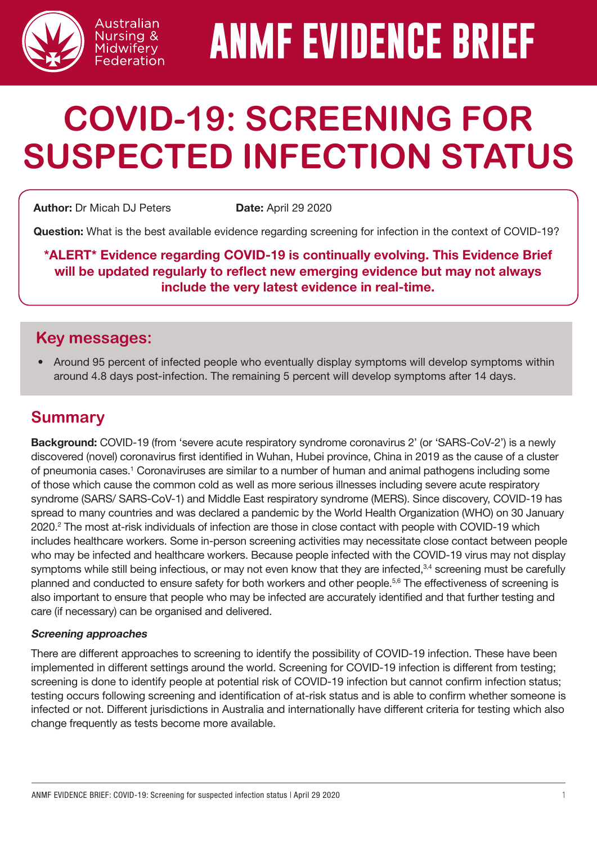

# **ANMF EVIDENCE BRIEF**

## **COVID-19: SCREENING FOR SUSPECTED INFECTION STATUS**

Author: Dr Micah DJ Peters Date: April 29 2020

Australian Nursing & Midwifery Federation

Question: What is the best available evidence regarding screening for infection in the context of COVID-19?

\*ALERT\* Evidence regarding COVID-19 is continually evolving. This Evidence Brief will be updated regularly to reflect new emerging evidence but may not always include the very latest evidence in real-time.

#### **Key messages:**

• Around 95 percent of infected people who eventually display symptoms will develop symptoms within around 4.8 days post-infection. The remaining 5 percent will develop symptoms after 14 days.

#### **Summary**

Background: COVID-19 (from 'severe acute respiratory syndrome coronavirus 2' (or 'SARS-CoV-2') is a newly discovered (novel) coronavirus first identified in Wuhan, Hubei province, China in 2019 as the cause of a cluster of pneumonia cases.<sup>1</sup> Coronaviruses are similar to a number of human and animal pathogens including some of those which cause the common cold as well as more serious illnesses including severe acute respiratory syndrome (SARS/ SARS-CoV-1) and Middle East respiratory syndrome (MERS). Since discovery, COVID-19 has spread to many countries and was declared a pandemic by the World Health Organization (WHO) on 30 January 2020.<sup>2</sup> The most at-risk individuals of infection are those in close contact with people with COVID-19 which includes healthcare workers. Some in-person screening activities may necessitate close contact between people who may be infected and healthcare workers. Because people infected with the COVID-19 virus may not display symptoms while still being infectious, or may not even know that they are infected,<sup>3,4</sup> screening must be carefully planned and conducted to ensure safety for both workers and other people.<sup>5,6</sup> The effectiveness of screening is also important to ensure that people who may be infected are accurately identified and that further testing and care (if necessary) can be organised and delivered.

#### Screening approaches

There are different approaches to screening to identify the possibility of COVID-19 infection. These have been implemented in different settings around the world. Screening for COVID-19 infection is different from testing; screening is done to identify people at potential risk of COVID-19 infection but cannot confirm infection status; testing occurs following screening and identification of at-risk status and is able to confirm whether someone is infected or not. Different jurisdictions in Australia and internationally have different criteria for testing which also change frequently as tests become more available.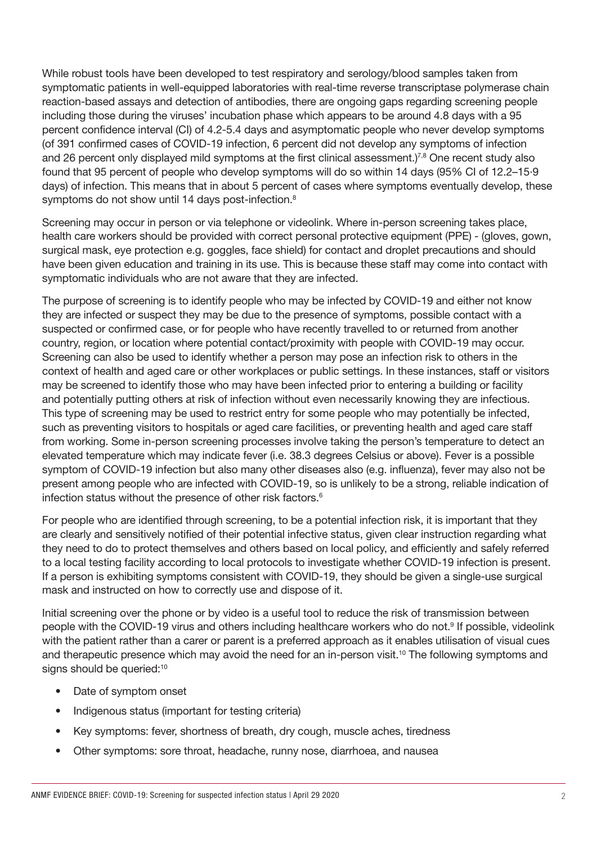While robust tools have been developed to test respiratory and serology/blood samples taken from symptomatic patients in well-equipped laboratories with real-time reverse transcriptase polymerase chain reaction-based assays and detection of antibodies, there are ongoing gaps regarding screening people including those during the viruses' incubation phase which appears to be around 4.8 days with a 95 percent confidence interval (CI) of 4.2-5.4 days and asymptomatic people who never develop symptoms (of 391 confirmed cases of COVID-19 infection, 6 percent did not develop any symptoms of infection and 26 percent only displayed mild symptoms at the first clinical assessment.)<sup>7,8</sup> One recent study also found that 95 percent of people who develop symptoms will do so within 14 days (95% CI of 12.2–15·9 days) of infection. This means that in about 5 percent of cases where symptoms eventually develop, these symptoms do not show until 14 days post-infection.<sup>8</sup>

Screening may occur in person or via telephone or videolink. Where in-person screening takes place, health care workers should be provided with correct personal protective equipment (PPE) - (gloves, gown, surgical mask, eye protection e.g. goggles, face shield) for contact and droplet precautions and should have been given education and training in its use. This is because these staff may come into contact with symptomatic individuals who are not aware that they are infected.

The purpose of screening is to identify people who may be infected by COVID-19 and either not know they are infected or suspect they may be due to the presence of symptoms, possible contact with a suspected or confirmed case, or for people who have recently travelled to or returned from another country, region, or location where potential contact/proximity with people with COVID-19 may occur. Screening can also be used to identify whether a person may pose an infection risk to others in the context of health and aged care or other workplaces or public settings. In these instances, staff or visitors may be screened to identify those who may have been infected prior to entering a building or facility and potentially putting others at risk of infection without even necessarily knowing they are infectious. This type of screening may be used to restrict entry for some people who may potentially be infected, such as preventing visitors to hospitals or aged care facilities, or preventing health and aged care staff from working. Some in-person screening processes involve taking the person's temperature to detect an elevated temperature which may indicate fever (i.e. 38.3 degrees Celsius or above). Fever is a possible symptom of COVID-19 infection but also many other diseases also (e.g. influenza), fever may also not be present among people who are infected with COVID-19, so is unlikely to be a strong, reliable indication of infection status without the presence of other risk factors.<sup>6</sup>

For people who are identified through screening, to be a potential infection risk, it is important that they are clearly and sensitively notified of their potential infective status, given clear instruction regarding what they need to do to protect themselves and others based on local policy, and efficiently and safely referred to a local testing facility according to local protocols to investigate whether COVID-19 infection is present. If a person is exhibiting symptoms consistent with COVID-19, they should be given a single-use surgical mask and instructed on how to correctly use and dispose of it.

Initial screening over the phone or by video is a useful tool to reduce the risk of transmission between people with the COVID-19 virus and others including healthcare workers who do not.9 If possible, videolink with the patient rather than a carer or parent is a preferred approach as it enables utilisation of visual cues and therapeutic presence which may avoid the need for an in-person visit.<sup>10</sup> The following symptoms and signs should be queried:<sup>10</sup>

- Date of symptom onset
- Indigenous status (important for testing criteria)
- Key symptoms: fever, shortness of breath, dry cough, muscle aches, tiredness
- Other symptoms: sore throat, headache, runny nose, diarrhoea, and nausea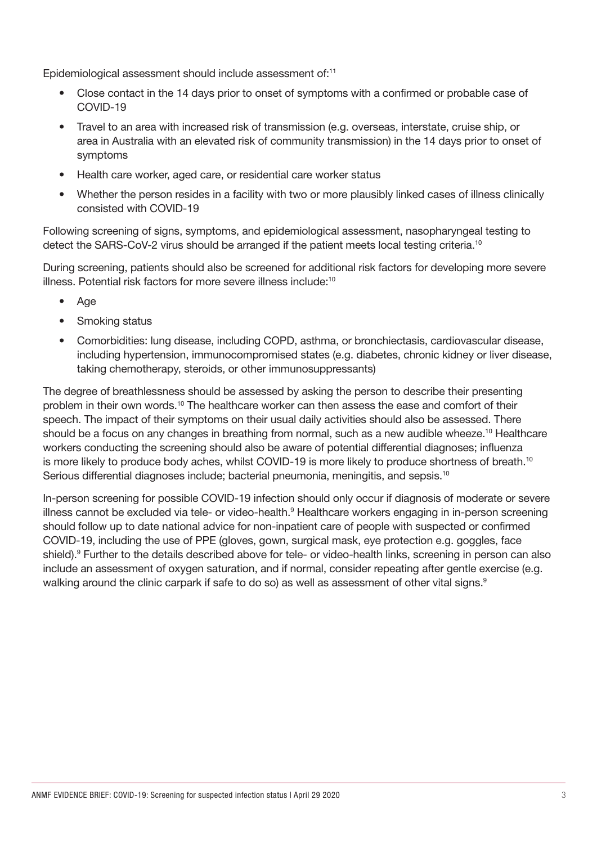Epidemiological assessment should include assessment of:<sup>11</sup>

- Close contact in the 14 days prior to onset of symptoms with a confirmed or probable case of COVID-19
- Travel to an area with increased risk of transmission (e.g. overseas, interstate, cruise ship, or area in Australia with an elevated risk of community transmission) in the 14 days prior to onset of symptoms
- Health care worker, aged care, or residential care worker status
- Whether the person resides in a facility with two or more plausibly linked cases of illness clinically consisted with COVID-19

Following screening of signs, symptoms, and epidemiological assessment, nasopharyngeal testing to detect the SARS-CoV-2 virus should be arranged if the patient meets local testing criteria.10

During screening, patients should also be screened for additional risk factors for developing more severe illness. Potential risk factors for more severe illness include:10

- Age
- Smoking status
- Comorbidities: lung disease, including COPD, asthma, or bronchiectasis, cardiovascular disease, including hypertension, immunocompromised states (e.g. diabetes, chronic kidney or liver disease, taking chemotherapy, steroids, or other immunosuppressants)

The degree of breathlessness should be assessed by asking the person to describe their presenting problem in their own words.10 The healthcare worker can then assess the ease and comfort of their speech. The impact of their symptoms on their usual daily activities should also be assessed. There should be a focus on any changes in breathing from normal, such as a new audible wheeze.<sup>10</sup> Healthcare workers conducting the screening should also be aware of potential differential diagnoses; influenza is more likely to produce body aches, whilst COVID-19 is more likely to produce shortness of breath.<sup>10</sup> Serious differential diagnoses include; bacterial pneumonia, meningitis, and sepsis.<sup>10</sup>

In-person screening for possible COVID-19 infection should only occur if diagnosis of moderate or severe illness cannot be excluded via tele- or video-health.<sup>9</sup> Healthcare workers engaging in in-person screening should follow up to date national advice for non-inpatient care of people with suspected or confirmed COVID-19, including the use of PPE (gloves, gown, surgical mask, eye protection e.g. goggles, face shield).<sup>9</sup> Further to the details described above for tele- or video-health links, screening in person can also include an assessment of oxygen saturation, and if normal, consider repeating after gentle exercise (e.g. walking around the clinic carpark if safe to do so) as well as assessment of other vital signs.<sup>9</sup>